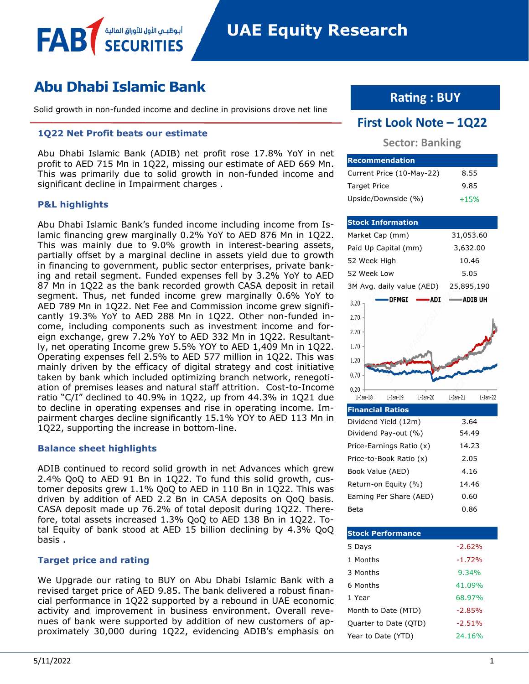# **Abu Dhabi Islamic Bank**

أبوظبــم الأول للأوراق المالا

Solid growth in non-funded income and decline in provisions drove net line

## **1Q22 Net Profit beats our estimate**

Abu Dhabi Islamic Bank (ADIB) net profit rose 17.8% YoY in net profit to AED 715 Mn in 1Q22, missing our estimate of AED 669 Mn. This was primarily due to solid growth in non-funded income and significant decline in Impairment charges .

## **P&L highlights**

FAB

Abu Dhabi Islamic Bank's funded income including income from Islamic financing grew marginally 0.2% YoY to AED 876 Mn in 1Q22. This was mainly due to 9.0% growth in interest-bearing assets, partially offset by a marginal decline in assets yield due to growth in financing to government, public sector enterprises, private banking and retail segment. Funded expenses fell by 3.2% YoY to AED 87 Mn in 1Q22 as the bank recorded growth CASA deposit in retail segment. Thus, net funded income grew marginally 0.6% YoY to AED 789 Mn in 1Q22. Net Fee and Commission income grew significantly 19.3% YoY to AED 288 Mn in 1Q22. Other non-funded income, including components such as investment income and foreign exchange, grew 7.2% YoY to AED 332 Mn in 1Q22. Resultantly, net operating Income grew 5.5% YOY to AED 1,409 Mn in 1Q22. Operating expenses fell 2.5% to AED 577 million in 1Q22. This was mainly driven by the efficacy of digital strategy and cost initiative taken by bank which included optimizing branch network, renegotiation of premises leases and natural staff attrition. Cost-to-Income ratio "C/I" declined to 40.9% in 1Q22, up from 44.3% in 1Q21 due to decline in operating expenses and rise in operating income. Impairment charges decline significantly 15.1% YOY to AED 113 Mn in 1Q22, supporting the increase in bottom-line.

## **Balance sheet highlights**

ADIB continued to record solid growth in net Advances which grew 2.4% QoQ to AED 91 Bn in 1Q22. To fund this solid growth, customer deposits grew 1.1% QoQ to AED in 110 Bn in 1Q22. This was driven by addition of AED 2.2 Bn in CASA deposits on QoQ basis. CASA deposit made up 76.2% of total deposit during 1Q22. Therefore, total assets increased 1.3% QoQ to AED 138 Bn in 1Q22. Total Equity of bank stood at AED 15 billion declining by 4.3% QoQ basis .

# **Target price and rating**

We Upgrade our rating to BUY on Abu Dhabi Islamic Bank with a revised target price of AED 9.85. The bank delivered a robust financial performance in 1Q22 supported by a rebound in UAE economic activity and improvement in business environment. Overall revenues of bank were supported by addition of new customers of approximately 30,000 during 1Q22, evidencing ADIB's emphasis on

# **Rating : BUY**

# **First Look Note – 1Q22**

# **Sector: Banking**

| <b>Recommendation</b>     |        |
|---------------------------|--------|
| Current Price (10-May-22) | 8.55   |
| <b>Target Price</b>       | 9.85   |
| Upside/Downside (%)       | $+15%$ |

#### **Stock Information** Market Cap (mm) 31,053.60 Paid Up Capital (mm) 3,632.00 52 Week High 10.46 52 Week Low 5.05 3M Avg. daily value (AED) 25,895,190 - DFMGI -**ADI** -ADIB UH  $3.20$ 2.70 2.20 1.70 1.20 0.70  $0.20$  $1$ -Jan- $18$  $1-Jan-19$  $1-Jan-20$  $1$ -Jan-21  $1-Jan-22$

| <b>Financial Ratios</b>  |       |
|--------------------------|-------|
| Dividend Yield (12m)     | 3.64  |
| Dividend Pay-out (%)     | 54.49 |
| Price-Earnings Ratio (x) | 14.23 |
| Price-to-Book Ratio (x)  | 2.05  |
| Book Value (AED)         | 4.16  |
| Return-on Equity (%)     | 14.46 |
| Earning Per Share (AED)  | 0.60  |
| Beta                     | 0.86  |

| <b>Stock Performance</b> |          |
|--------------------------|----------|
| 5 Days                   | $-2.62%$ |
| 1 Months                 | $-1.72%$ |
| 3 Months                 | 9.34%    |
| 6 Months                 | 41.09%   |
| 1 Year                   | 68.97%   |
| Month to Date (MTD)      | $-2.85%$ |
| Quarter to Date (QTD)    | $-2.51%$ |
| Year to Date (YTD)       | 24.16%   |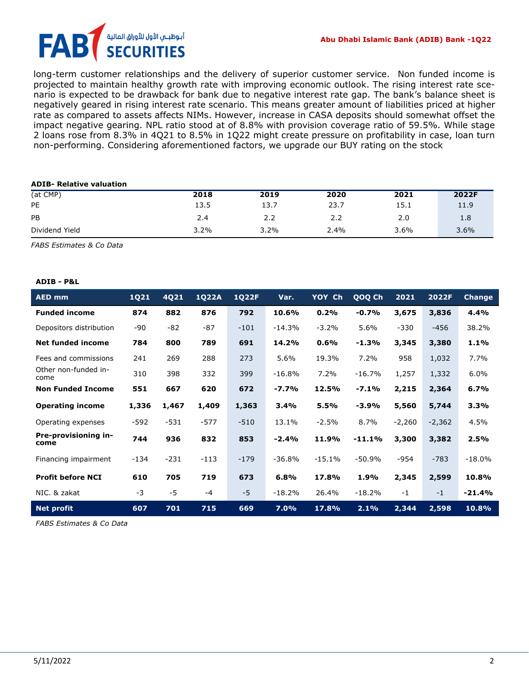# أبوظبــمي الأول للأوراق الماليا FA **URITIES**

long-term customer relationships and the delivery of superior customer service. Non funded income is projected to maintain healthy growth rate with improving economic outlook. The rising interest rate scenario is expected to be drawback for bank due to negative interest rate gap. The bank's balance sheet is negatively geared in rising interest rate scenario. This means greater amount of liabilities priced at higher rate as compared to assets affects NIMs. However, increase in CASA deposits should somewhat offset the impact negative gearing. NPL ratio stood at of 8.8% with provision coverage ratio of 59.5%. While stage 2 loans rose from 8.3% in 4Q21 to 8.5% in 1Q22 might create pressure on profitability in case, loan turn non-performing. Considering aforementioned factors, we upgrade our BUY rating on the stock

#### **ADIB- Relative valuation**

| (at CMP)       | 2018 | 2019 | 2020 | 2021 | 2022F |
|----------------|------|------|------|------|-------|
| PE             | 13.5 | 13.7 | 23.7 | 15.1 | 11.9  |
| PB             | 2.4  | 2.2  | 2.2  | 2.0  | 1.8   |
| Dividend Yield | 3.2% | 3.2% | 2.4% | 3.6% | 3.6%  |

*FABS Estimates & Co Data*

#### **ADIB - P&L**

| <b>AED mm</b>                | 1Q21   | 4Q21   | <b>1Q22A</b> | <b>1Q22F</b> | Var.     | YOY Ch   | QOQ Ch   | 2021     | 2022F    | <b>Change</b> |
|------------------------------|--------|--------|--------------|--------------|----------|----------|----------|----------|----------|---------------|
| <b>Funded income</b>         | 874    | 882    | 876          | 792          | 10.6%    | 0.2%     | $-0.7%$  | 3,675    | 3,836    | 4.4%          |
| Depositors distribution      | -90    | -82    | -87          | $-101$       | $-14.3%$ | $-3.2%$  | 5.6%     | $-330$   | $-456$   | 38.2%         |
| Net funded income            | 784    | 800    | 789          | 691          | 14.2%    | 0.6%     | $-1.3%$  | 3,345    | 3,380    | 1.1%          |
| Fees and commissions         | 241    | 269    | 288          | 273          | 5.6%     | 19.3%    | 7.2%     | 958      | 1,032    | 7.7%          |
| Other non-funded in-<br>come | 310    | 398    | 332          | 399          | $-16.8%$ | 7.2%     | $-16.7%$ | 1,257    | 1,332    | 6.0%          |
| <b>Non Funded Income</b>     | 551    | 667    | 620          | 672          | $-7.7%$  | 12.5%    | $-7.1%$  | 2,215    | 2,364    | 6.7%          |
| <b>Operating income</b>      | 1,336  | 1,467  | 1,409        | 1,363        | 3.4%     | 5.5%     | $-3.9%$  | 5,560    | 5,744    | 3.3%          |
| Operating expenses           | -592   | $-531$ | $-577$       | $-510$       | 13.1%    | $-2.5%$  | 8.7%     | $-2,260$ | $-2,362$ | 4.5%          |
| Pre-provisioning in-<br>come | 744    | 936    | 832          | 853          | $-2.4%$  | 11.9%    | $-11.1%$ | 3,300    | 3,382    | 2.5%          |
| Financing impairment         | $-134$ | $-231$ | $-113$       | $-179$       | $-36.8%$ | $-15.1%$ | $-50.9%$ | -954     | $-783$   | $-18.0%$      |
| <b>Profit before NCI</b>     | 610    | 705    | 719          | 673          | 6.8%     | 17.8%    | 1.9%     | 2,345    | 2,599    | 10.8%         |
| NIC. & zakat                 | -3     | $-5$   | $-4$         | $-5$         | $-18.2%$ | 26.4%    | $-18.2%$ | $-1$     | $-1$     | $-21.4%$      |
| <b>Net profit</b>            | 607    | 701    | 715          | 669          | 7.0%     | 17.8%    | 2.1%     | 2,344    | 2,598    | 10.8%         |

*FABS Estimates & Co Data*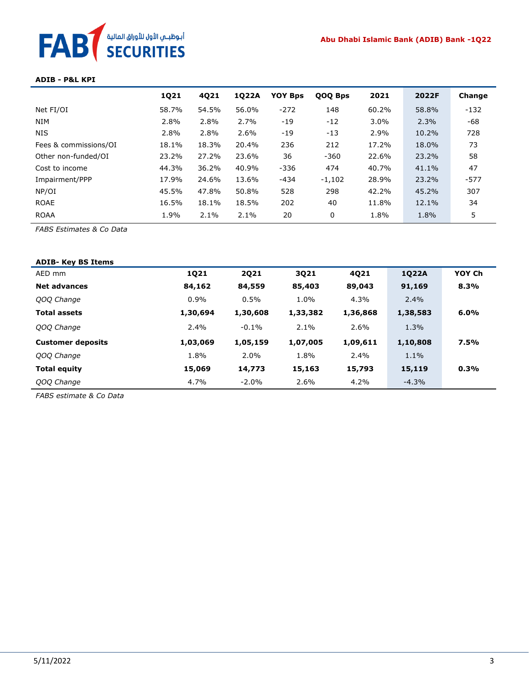## **Abu Dhabi Islamic Bank (ADIB) Bank -1Q22**

# أبوظبـي الأول للأوراق المالية<br>SECURITIES **FAB**

#### **ADIB - P&L KPI**

|                       | 1Q21  | 4Q21  | 1022A | <b>YOY Bps</b> | QOQ Bps  | 2021    | 2022F | Change |
|-----------------------|-------|-------|-------|----------------|----------|---------|-------|--------|
| Net FI/OI             | 58.7% | 54.5% | 56.0% | $-272$         | 148      | 60.2%   | 58.8% | $-132$ |
| <b>NIM</b>            | 2.8%  | 2.8%  | 2.7%  | $-19$          | $-12$    | $3.0\%$ | 2.3%  | -68    |
| <b>NIS</b>            | 2.8%  | 2.8%  | 2.6%  | $-19$          | $-13$    | 2.9%    | 10.2% | 728    |
| Fees & commissions/OI | 18.1% | 18.3% | 20.4% | 236            | 212      | 17.2%   | 18.0% | 73     |
| Other non-funded/OI   | 23.2% | 27.2% | 23.6% | 36             | $-360$   | 22.6%   | 23.2% | 58     |
| Cost to income        | 44.3% | 36.2% | 40.9% | $-336$         | 474      | 40.7%   | 41.1% | 47     |
| Impairment/PPP        | 17.9% | 24.6% | 13.6% | -434           | $-1,102$ | 28.9%   | 23.2% | $-577$ |
| NP/OI                 | 45.5% | 47.8% | 50.8% | 528            | 298      | 42.2%   | 45.2% | 307    |
| <b>ROAE</b>           | 16.5% | 18.1% | 18.5% | 202            | 40       | 11.8%   | 12.1% | 34     |
| <b>ROAA</b>           | 1.9%  | 2.1%  | 2.1%  | 20             | 0        | 1.8%    | 1.8%  | 5      |

*FABS Estimates & Co Data*

| <b>ADIB- Key BS Items</b> |          |             |          |          |          |        |
|---------------------------|----------|-------------|----------|----------|----------|--------|
| AED mm                    | 1Q21     | <b>2Q21</b> | 3Q21     | 4Q21     | 1Q22A    | YOY Ch |
| <b>Net advances</b>       | 84,162   | 84,559      | 85,403   | 89,043   | 91,169   | 8.3%   |
| QOQ Change                | $0.9\%$  | 0.5%        | 1.0%     | 4.3%     | 2.4%     |        |
| <b>Total assets</b>       | 1,30,694 | 1,30,608    | 1,33,382 | 1,36,868 | 1,38,583 | 6.0%   |
| QOQ Change                | $2.4\%$  | $-0.1%$     | $2.1\%$  | 2.6%     | 1.3%     |        |
| <b>Customer deposits</b>  | 1,03,069 | 1,05,159    | 1,07,005 | 1,09,611 | 1,10,808 | 7.5%   |
| QOQ Change                | 1.8%     | 2.0%        | 1.8%     | 2.4%     | 1.1%     |        |
| <b>Total equity</b>       | 15,069   | 14,773      | 15,163   | 15,793   | 15,119   | 0.3%   |
| QOQ Change                | 4.7%     | $-2.0\%$    | 2.6%     | 4.2%     | $-4.3%$  |        |

*FABS estimate & Co Data*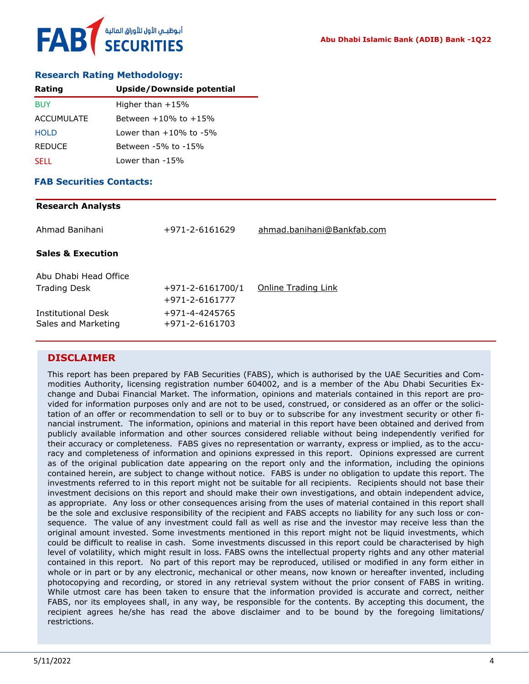## **Research Rating Methodology:**

| Rating            | Upside/Downside potential    |
|-------------------|------------------------------|
| <b>BUY</b>        | Higher than $+15%$           |
| <b>ACCUMULATE</b> | Between $+10\%$ to $+15\%$   |
| <b>HOLD</b>       | Lower than $+10\%$ to $-5\%$ |
| <b>REDUCE</b>     | Between -5% to -15%          |
| <b>SELL</b>       | Lower than -15%              |

## **FAB Securities Contacts:**

#### **Research Analysts**

| Ahmad Banihani                            | +971-2-6161629                   | ahmad.banihani@Bankfab.com |
|-------------------------------------------|----------------------------------|----------------------------|
| <b>Sales &amp; Execution</b>              |                                  |                            |
| Abu Dhabi Head Office                     |                                  |                            |
| <b>Trading Desk</b>                       | $+971 - 2 - 6161700/1$           | Online Trading Link        |
|                                           | +971-2-6161777                   |                            |
| Institutional Desk<br>Sales and Marketing | +971-4-4245765<br>+971-2-6161703 |                            |

# **DISCLAIMER**

This report has been prepared by FAB Securities (FABS), which is authorised by the UAE Securities and Commodities Authority, licensing registration number 604002, and is a member of the Abu Dhabi Securities Exchange and Dubai Financial Market. The information, opinions and materials contained in this report are provided for information purposes only and are not to be used, construed, or considered as an offer or the solicitation of an offer or recommendation to sell or to buy or to subscribe for any investment security or other financial instrument. The information, opinions and material in this report have been obtained and derived from publicly available information and other sources considered reliable without being independently verified for their accuracy or completeness. FABS gives no representation or warranty, express or implied, as to the accuracy and completeness of information and opinions expressed in this report. Opinions expressed are current as of the original publication date appearing on the report only and the information, including the opinions contained herein, are subject to change without notice. FABS is under no obligation to update this report. The investments referred to in this report might not be suitable for all recipients. Recipients should not base their investment decisions on this report and should make their own investigations, and obtain independent advice, as appropriate. Any loss or other consequences arising from the uses of material contained in this report shall be the sole and exclusive responsibility of the recipient and FABS accepts no liability for any such loss or consequence. The value of any investment could fall as well as rise and the investor may receive less than the original amount invested. Some investments mentioned in this report might not be liquid investments, which could be difficult to realise in cash. Some investments discussed in this report could be characterised by high level of volatility, which might result in loss. FABS owns the intellectual property rights and any other material contained in this report. No part of this report may be reproduced, utilised or modified in any form either in whole or in part or by any electronic, mechanical or other means, now known or hereafter invented, including photocopying and recording, or stored in any retrieval system without the prior consent of FABS in writing. While utmost care has been taken to ensure that the information provided is accurate and correct, neither FABS, nor its employees shall, in any way, be responsible for the contents. By accepting this document, the recipient agrees he/she has read the above disclaimer and to be bound by the foregoing limitations/ restrictions.